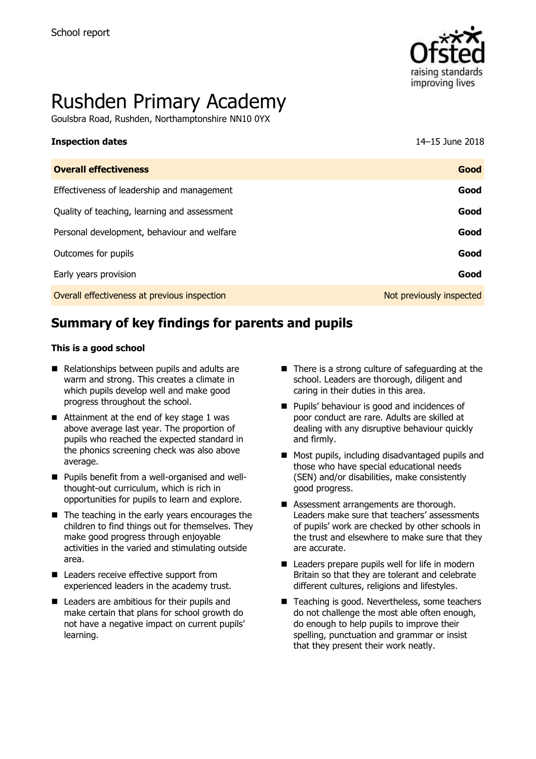

# Rushden Primary Academy

Goulsbra Road, Rushden, Northamptonshire NN10 0YX

| <b>Inspection dates</b> | 14-15 June 2018 |
|-------------------------|-----------------|
|                         |                 |

| <b>Overall effectiveness</b>                 | Good                     |
|----------------------------------------------|--------------------------|
| Effectiveness of leadership and management   | Good                     |
| Quality of teaching, learning and assessment | Good                     |
| Personal development, behaviour and welfare  | Good                     |
| Outcomes for pupils                          | Good                     |
| Early years provision                        | Good                     |
| Overall effectiveness at previous inspection | Not previously inspected |

# **Summary of key findings for parents and pupils**

#### **This is a good school**

- Relationships between pupils and adults are warm and strong. This creates a climate in which pupils develop well and make good progress throughout the school.
- Attainment at the end of key stage 1 was above average last year. The proportion of pupils who reached the expected standard in the phonics screening check was also above average.
- Pupils benefit from a well-organised and wellthought-out curriculum, which is rich in opportunities for pupils to learn and explore.
- $\blacksquare$  The teaching in the early years encourages the children to find things out for themselves. They make good progress through enjoyable activities in the varied and stimulating outside area.
- Leaders receive effective support from experienced leaders in the academy trust.
- Leaders are ambitious for their pupils and make certain that plans for school growth do not have a negative impact on current pupils' learning.
- $\blacksquare$  There is a strong culture of safeguarding at the school. Leaders are thorough, diligent and caring in their duties in this area.
- **Pupils' behaviour is good and incidences of** poor conduct are rare. Adults are skilled at dealing with any disruptive behaviour quickly and firmly.
- (SEN) and/or disabilities, make consistently good progress. The ligent and leaders are thorough, discussed and  $\alpha$ **Most pupils, including disadvantaged pupils and** those who have special educational needs
- Leaders make sure that teachers' assessments of pupils' work are checked by other schools in the trust and elsewhere to make sure that they **Assessment arrangements are thorough.** are accurate.
- Britain so that they are tolerant and celebrate different cultures, religions and lifestyles. ■ Leaders prepare pupils well for life in modern
- Teaching is good. Nevertheless, some teachers do not challenge the most able often enough, do enough to help pupils to improve their spelling, punctuation and grammar or insist that they present their work neatly.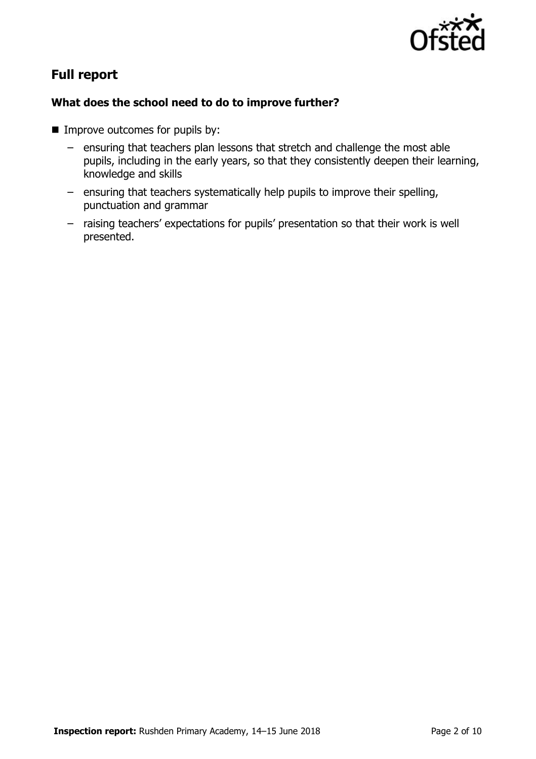

# **Full report**

#### **What does the school need to do to improve further?**

- **IMPROVE OUTCOMES for pupils by:** 
	- ensuring that teachers plan lessons that stretch and challenge the most able pupils, including in the early years, so that they consistently deepen their learning, knowledge and skills
	- ensuring that teachers systematically help pupils to improve their spelling, punctuation and grammar
	- raising teachers' expectations for pupils' presentation so that their work is well presented.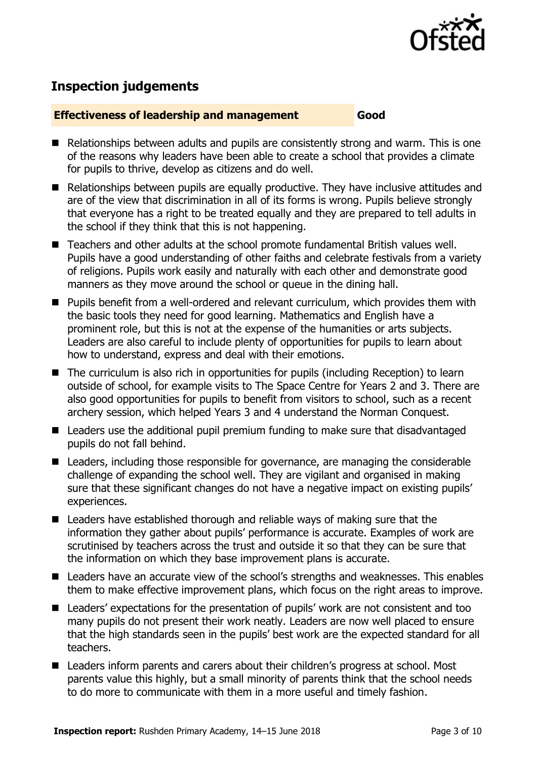

# **Inspection judgements**

#### **Effectiveness of leadership and management Good**

- Relationships between adults and pupils are consistently strong and warm. This is one of the reasons why leaders have been able to create a school that provides a climate for pupils to thrive, develop as citizens and do well.
- Relationships between pupils are equally productive. They have inclusive attitudes and are of the view that discrimination in all of its forms is wrong. Pupils believe strongly that everyone has a right to be treated equally and they are prepared to tell adults in the school if they think that this is not happening.
- Teachers and other adults at the school promote fundamental British values well. Pupils have a good understanding of other faiths and celebrate festivals from a variety of religions. Pupils work easily and naturally with each other and demonstrate good manners as they move around the school or queue in the dining hall.
- Pupils benefit from a well-ordered and relevant curriculum, which provides them with the basic tools they need for good learning. Mathematics and English have a prominent role, but this is not at the expense of the humanities or arts subjects. Leaders are also careful to include plenty of opportunities for pupils to learn about how to understand, express and deal with their emotions.
- The curriculum is also rich in opportunities for pupils (including Reception) to learn outside of school, for example visits to The Space Centre for Years 2 and 3. There are also good opportunities for pupils to benefit from visitors to school, such as a recent archery session, which helped Years 3 and 4 understand the Norman Conquest.
- Leaders use the additional pupil premium funding to make sure that disadvantaged pupils do not fall behind.
- Leaders, including those responsible for governance, are managing the considerable challenge of expanding the school well. They are vigilant and organised in making sure that these significant changes do not have a negative impact on existing pupils' experiences.
- Leaders have established thorough and reliable ways of making sure that the information they gather about pupils' performance is accurate. Examples of work are scrutinised by teachers across the trust and outside it so that they can be sure that the information on which they base improvement plans is accurate.
- Leaders have an accurate view of the school's strengths and weaknesses. This enables them to make effective improvement plans, which focus on the right areas to improve.
- Leaders' expectations for the presentation of pupils' work are not consistent and too many pupils do not present their work neatly. Leaders are now well placed to ensure that the high standards seen in the pupils' best work are the expected standard for all teachers.
- Leaders inform parents and carers about their children's progress at school. Most parents value this highly, but a small minority of parents think that the school needs to do more to communicate with them in a more useful and timely fashion.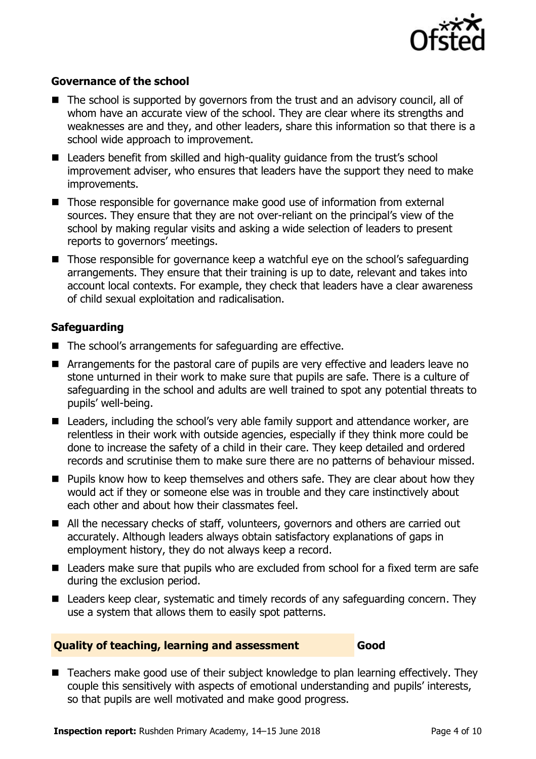

#### **Governance of the school**

- The school is supported by governors from the trust and an advisory council, all of whom have an accurate view of the school. They are clear where its strengths and weaknesses are and they, and other leaders, share this information so that there is a school wide approach to improvement.
- Leaders benefit from skilled and high-quality guidance from the trust's school improvement adviser, who ensures that leaders have the support they need to make improvements.
- **Those responsible for governance make good use of information from external** sources. They ensure that they are not over-reliant on the principal's view of the school by making regular visits and asking a wide selection of leaders to present reports to governors' meetings.
- $\blacksquare$  Those responsible for governance keep a watchful eye on the school's safeguarding arrangements. They ensure that their training is up to date, relevant and takes into account local contexts. For example, they check that leaders have a clear awareness of child sexual exploitation and radicalisation.

### **Safeguarding**

- The school's arrangements for safeguarding are effective.
- **E** Arrangements for the pastoral care of pupils are very effective and leaders leave no stone unturned in their work to make sure that pupils are safe. There is a culture of safeguarding in the school and adults are well trained to spot any potential threats to pupils' well-being.
- Leaders, including the school's very able family support and attendance worker, are relentless in their work with outside agencies, especially if they think more could be done to increase the safety of a child in their care. They keep detailed and ordered records and scrutinise them to make sure there are no patterns of behaviour missed.
- **Pupils know how to keep themselves and others safe. They are clear about how they** would act if they or someone else was in trouble and they care instinctively about each other and about how their classmates feel.
- All the necessary checks of staff, volunteers, governors and others are carried out accurately. Although leaders always obtain satisfactory explanations of gaps in employment history, they do not always keep a record.
- Leaders make sure that pupils who are excluded from school for a fixed term are safe during the exclusion period.
- Leaders keep clear, systematic and timely records of any safeguarding concern. They use a system that allows them to easily spot patterns.

#### **Quality of teaching, learning and assessment Good**

■ Teachers make good use of their subject knowledge to plan learning effectively. They couple this sensitively with aspects of emotional understanding and pupils' interests, so that pupils are well motivated and make good progress.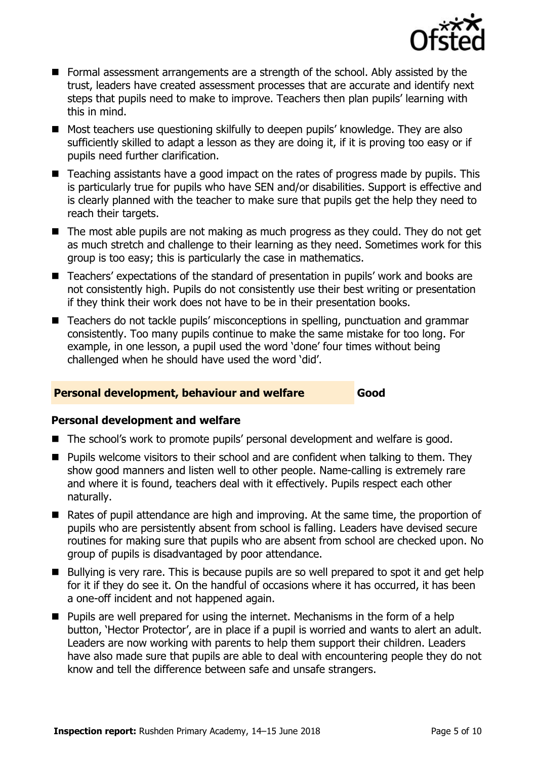

- Formal assessment arrangements are a strength of the school. Ably assisted by the trust, leaders have created assessment processes that are accurate and identify next steps that pupils need to make to improve. Teachers then plan pupils' learning with this in mind.
- Most teachers use questioning skilfully to deepen pupils' knowledge. They are also sufficiently skilled to adapt a lesson as they are doing it, if it is proving too easy or if pupils need further clarification.
- Teaching assistants have a good impact on the rates of progress made by pupils. This is particularly true for pupils who have SEN and/or disabilities. Support is effective and is clearly planned with the teacher to make sure that pupils get the help they need to reach their targets.
- The most able pupils are not making as much progress as they could. They do not get as much stretch and challenge to their learning as they need. Sometimes work for this group is too easy; this is particularly the case in mathematics.
- Teachers' expectations of the standard of presentation in pupils' work and books are not consistently high. Pupils do not consistently use their best writing or presentation if they think their work does not have to be in their presentation books.
- Teachers do not tackle pupils' misconceptions in spelling, punctuation and grammar consistently. Too many pupils continue to make the same mistake for too long. For example, in one lesson, a pupil used the word 'done' four times without being challenged when he should have used the word 'did'.

#### **Personal development, behaviour and welfare Good**

#### **Personal development and welfare**

- The school's work to promote pupils' personal development and welfare is good.
- **Pupils welcome visitors to their school and are confident when talking to them. They** show good manners and listen well to other people. Name-calling is extremely rare and where it is found, teachers deal with it effectively. Pupils respect each other naturally.
- Rates of pupil attendance are high and improving. At the same time, the proportion of pupils who are persistently absent from school is falling. Leaders have devised secure routines for making sure that pupils who are absent from school are checked upon. No group of pupils is disadvantaged by poor attendance.
- Bullying is very rare. This is because pupils are so well prepared to spot it and get help for it if they do see it. On the handful of occasions where it has occurred, it has been a one-off incident and not happened again.
- **Pupils are well prepared for using the internet. Mechanisms in the form of a help** button, 'Hector Protector', are in place if a pupil is worried and wants to alert an adult. Leaders are now working with parents to help them support their children. Leaders have also made sure that pupils are able to deal with encountering people they do not know and tell the difference between safe and unsafe strangers.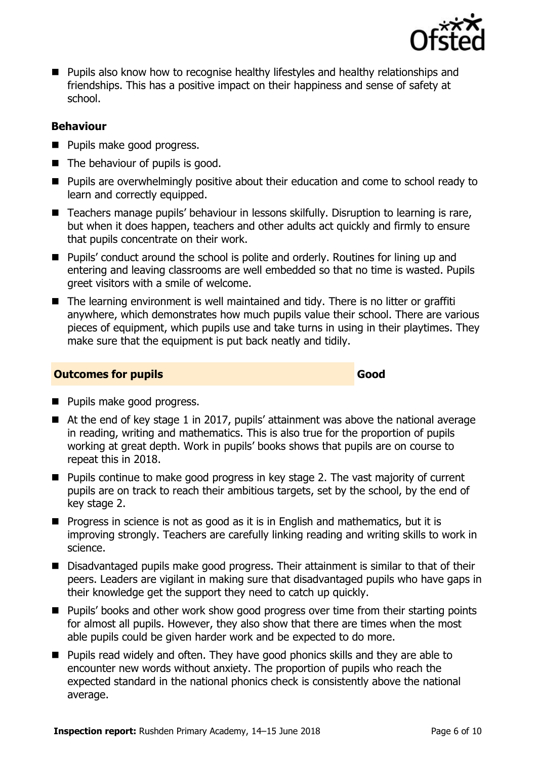

**Pupils also know how to recognise healthy lifestyles and healthy relationships and** friendships. This has a positive impact on their happiness and sense of safety at school.

#### **Behaviour**

- **Pupils make good progress.**
- $\blacksquare$  The behaviour of pupils is good.
- **Pupils are overwhelmingly positive about their education and come to school ready to** learn and correctly equipped.
- Teachers manage pupils' behaviour in lessons skilfully. Disruption to learning is rare, but when it does happen, teachers and other adults act quickly and firmly to ensure that pupils concentrate on their work.
- Pupils' conduct around the school is polite and orderly. Routines for lining up and entering and leaving classrooms are well embedded so that no time is wasted. Pupils greet visitors with a smile of welcome.
- The learning environment is well maintained and tidy. There is no litter or graffiti anywhere, which demonstrates how much pupils value their school. There are various pieces of equipment, which pupils use and take turns in using in their playtimes. They make sure that the equipment is put back neatly and tidily.

#### **Outcomes for pupils Good**

- **Pupils make good progress.**
- At the end of key stage 1 in 2017, pupils' attainment was above the national average in reading, writing and mathematics. This is also true for the proportion of pupils working at great depth. Work in pupils' books shows that pupils are on course to repeat this in 2018.
- Pupils continue to make good progress in key stage 2. The vast majority of current pupils are on track to reach their ambitious targets, set by the school, by the end of key stage 2.
- **Progress in science is not as good as it is in English and mathematics, but it is** improving strongly. Teachers are carefully linking reading and writing skills to work in science.
- Disadvantaged pupils make good progress. Their attainment is similar to that of their peers. Leaders are vigilant in making sure that disadvantaged pupils who have gaps in their knowledge get the support they need to catch up quickly.
- **Pupils' books and other work show good progress over time from their starting points** for almost all pupils. However, they also show that there are times when the most able pupils could be given harder work and be expected to do more.
- **Pupils read widely and often. They have good phonics skills and they are able to** encounter new words without anxiety. The proportion of pupils who reach the expected standard in the national phonics check is consistently above the national average.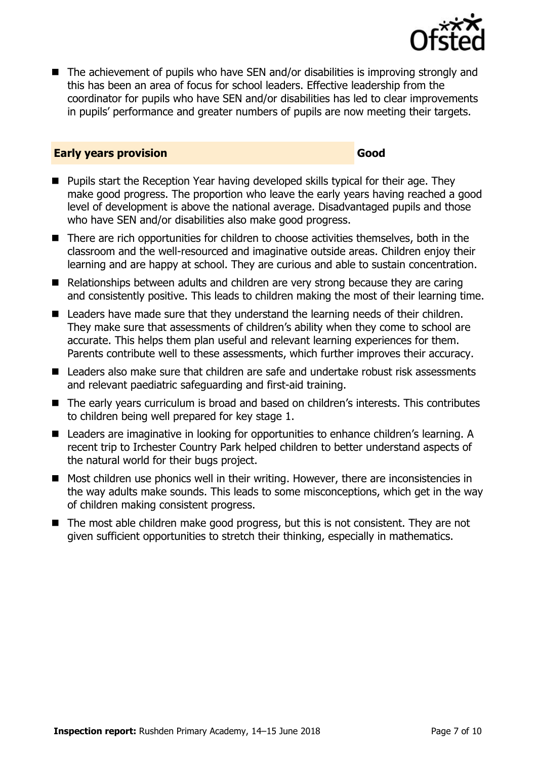

■ The achievement of pupils who have SEN and/or disabilities is improving strongly and this has been an area of focus for school leaders. Effective leadership from the coordinator for pupils who have SEN and/or disabilities has led to clear improvements in pupils' performance and greater numbers of pupils are now meeting their targets.

#### **Early years provision Good Good**

- **Pupils start the Reception Year having developed skills typical for their age. They** make good progress. The proportion who leave the early years having reached a good level of development is above the national average. Disadvantaged pupils and those who have SEN and/or disabilities also make good progress.
- There are rich opportunities for children to choose activities themselves, both in the classroom and the well-resourced and imaginative outside areas. Children enjoy their learning and are happy at school. They are curious and able to sustain concentration.
- Relationships between adults and children are very strong because they are caring and consistently positive. This leads to children making the most of their learning time.
- Leaders have made sure that they understand the learning needs of their children. They make sure that assessments of children's ability when they come to school are accurate. This helps them plan useful and relevant learning experiences for them. Parents contribute well to these assessments, which further improves their accuracy.
- Leaders also make sure that children are safe and undertake robust risk assessments and relevant paediatric safeguarding and first-aid training.
- The early years curriculum is broad and based on children's interests. This contributes to children being well prepared for key stage 1.
- Leaders are imaginative in looking for opportunities to enhance children's learning. A recent trip to Irchester Country Park helped children to better understand aspects of the natural world for their bugs project.
- Most children use phonics well in their writing. However, there are inconsistencies in the way adults make sounds. This leads to some misconceptions, which get in the way of children making consistent progress.
- The most able children make good progress, but this is not consistent. They are not given sufficient opportunities to stretch their thinking, especially in mathematics.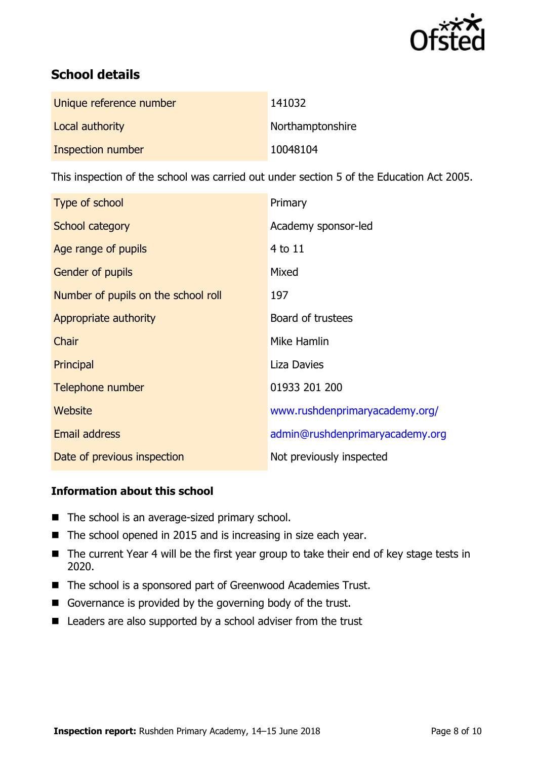

# **School details**

| Unique reference number | 141032           |
|-------------------------|------------------|
| Local authority         | Northamptonshire |
| Inspection number       | 10048104         |

This inspection of the school was carried out under section 5 of the Education Act 2005.

| Type of school                      | Primary                         |
|-------------------------------------|---------------------------------|
| School category                     | Academy sponsor-led             |
| Age range of pupils                 | 4 to 11                         |
| Gender of pupils                    | Mixed                           |
| Number of pupils on the school roll | 197                             |
| Appropriate authority               | Board of trustees               |
| Chair                               | Mike Hamlin                     |
| Principal                           | <b>Liza Davies</b>              |
| Telephone number                    | 01933 201 200                   |
| <b>Website</b>                      | www.rushdenprimaryacademy.org/  |
| <b>Email address</b>                | admin@rushdenprimaryacademy.org |
| Date of previous inspection         | Not previously inspected        |

#### **Information about this school**

- The school is an average-sized primary school.
- The school opened in 2015 and is increasing in size each year.
- The current Year 4 will be the first year group to take their end of key stage tests in 2020.
- The school is a sponsored part of Greenwood Academies Trust.
- Governance is provided by the governing body of the trust.
- Leaders are also supported by a school adviser from the trust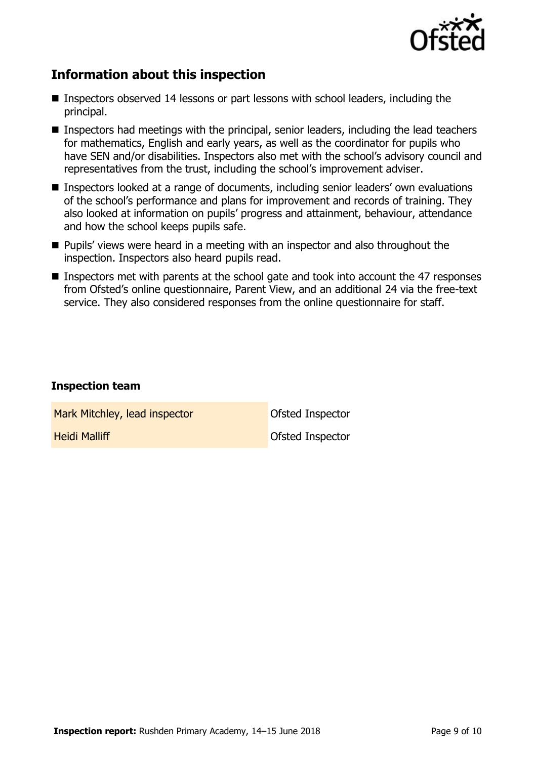

## **Information about this inspection**

- Inspectors observed 14 lessons or part lessons with school leaders, including the principal.
- Inspectors had meetings with the principal, senior leaders, including the lead teachers for mathematics, English and early years, as well as the coordinator for pupils who have SEN and/or disabilities. Inspectors also met with the school's advisory council and representatives from the trust, including the school's improvement adviser.
- Inspectors looked at a range of documents, including senior leaders' own evaluations of the school's performance and plans for improvement and records of training. They also looked at information on pupils' progress and attainment, behaviour, attendance and how the school keeps pupils safe.
- **Pupils'** views were heard in a meeting with an inspector and also throughout the inspection. Inspectors also heard pupils read.
- Inspectors met with parents at the school gate and took into account the 47 responses from Ofsted's online questionnaire, Parent View, and an additional 24 via the free-text service. They also considered responses from the online questionnaire for staff.

#### **Inspection team**

Mark Mitchley, lead inspector **Nark Mitchley, lead inspector** 

**Heidi Malliff Malliff Contract Contract Contract Properties Ofsted Inspector**